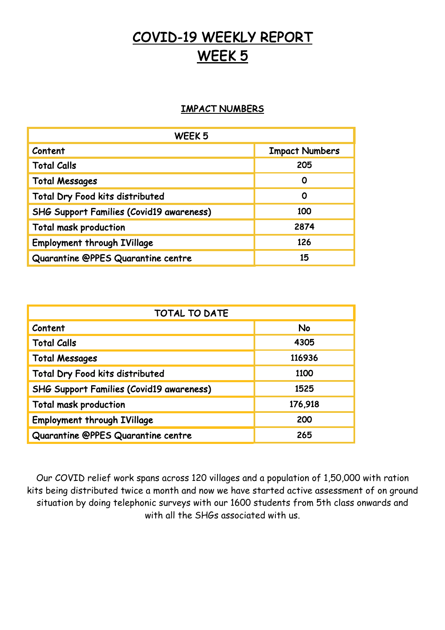# COVID-19 WEEKLY REPORT WEEK<sub>5</sub>

## IMPACT NUMBERS

| WEEK <sub>5</sub>                               |                       |
|-------------------------------------------------|-----------------------|
| Content                                         | <b>Impact Numbers</b> |
| <b>Total Calls</b>                              | 205                   |
| <b>Total Messages</b>                           | Ο                     |
| Total Dry Food kits distributed                 | 0                     |
| <b>SHG Support Families (Covid19 awareness)</b> | 100                   |
| <b>Total mask production</b>                    | 2874                  |
| <b>Employment through IVillage</b>              | 126                   |
| Quarantine @PPES Quarantine centre              | 15                    |

| TOTAL TO DATE                                   |         |
|-------------------------------------------------|---------|
| Content                                         | No      |
| <b>Total Calls</b>                              | 4305    |
| <b>Total Messages</b>                           | 116936  |
| Total Dry Food kits distributed                 | 1100    |
| <b>SHG Support Families (Covid19 awareness)</b> | 1525    |
| <b>Total mask production</b>                    | 176,918 |
| <b>Employment through IVillage</b>              | 200     |
| Quarantine @PPES Quarantine centre              | 265     |

Our COVID relief work spans across 120 villages and a population of 1,50,000 with ration kits being distributed twice a month and now we have started active assessment of on ground situation by doing telephonic surveys with our 1600 students from 5th class onwards and with all the SHGs associated with us.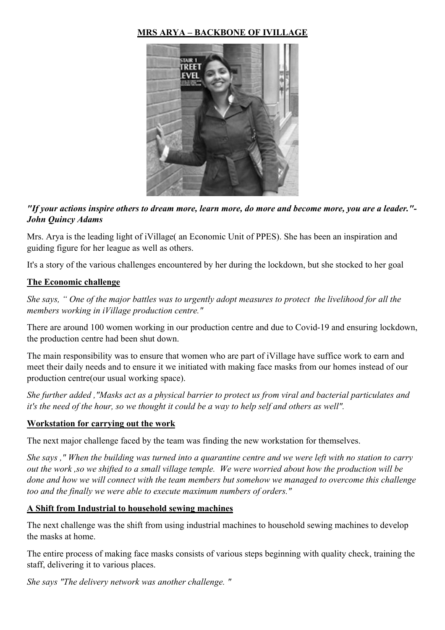## **MRS ARYA – BACKBONE OF IVILLAGE**



## *"If your actions inspire others to dream more, learn more, do more and become more, you are a leader."- John Quincy Adams*

Mrs. Arya is the leading light of iVillage( an Economic Unit of PPES). She has been an inspiration and guiding figure for her league as well as others.

It's a story of the various challenges encountered by her during the lockdown, but she stocked to her goal

#### **The Economic challenge**

*She says, " One of the major battles was to urgently adopt measures to protect the livelihood for all the members working in iVillage production centre."*

There are around 100 women working in our production centre and due to Covid-19 and ensuring lockdown, the production centre had been shut down.

The main responsibility was to ensure that women who are part of iVillage have suffice work to earn and meet their daily needs and to ensure it we initiated with making face masks from our homes instead of our production centre(our usual working space).

*She further added ,"Masks act as a physical barrier to protect us from viral and bacterial particulates and it's the need of the hour, so we thought it could be a way to help self and others as well".*

#### **Workstation for carrying out the work**

The next major challenge faced by the team was finding the new workstation for themselves.

*She says ," When the building was turned into a quarantine centre and we were left with no station to carry out the work ,so we shifted to a small village temple. We were worried about how the production will be done and how we will connect with the team members but somehow we managed to overcome this challenge too and the finally we were able to execute maximum numbers of orders."*

#### **A Shift from Industrial to household sewing machines**

The next challenge was the shift from using industrial machines to household sewing machines to develop the masks at home.

The entire process of making face masks consists of various steps beginning with quality check, training the staff, delivering it to various places.

*She says "The delivery network was another challenge. "*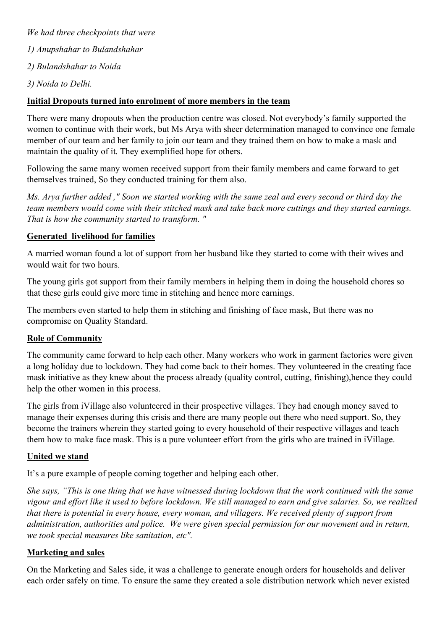*We had three checkpoints that were 1) Anupshahar to Bulandshahar 2) Bulandshahar to Noida 3) Noida to Delhi.*

#### **Initial Dropouts turned into enrolment of more members in the team**

There were many dropouts when the production centre was closed. Not everybody's family supported the women to continue with their work, but Ms Arya with sheer determination managed to convince one female member of our team and her family to join our team and they trained them on how to make a mask and maintain the quality of it. They exemplified hope for others.

Following the same many women received support from their family members and came forward to get themselves trained, So they conducted training for them also.

*Ms. Arya further added ," Soon we started working with the same zeal and every second or third day the team members would come with their stitched mask and take back more cuttings and they started earnings. That is how the community started to transform. "*

#### **Generated livelihood for families**

A married woman found a lot of support from her husband like they started to come with their wives and would wait for two hours.

The young girls got support from their family members in helping them in doing the household chores so that these girls could give more time in stitching and hence more earnings.

The members even started to help them in stitching and finishing of face mask, But there was no compromise on Quality Standard.

#### **Role of Community**

The community came forward to help each other. Many workers who work in garment factories were given a long holiday due to lockdown. They had come back to their homes. They volunteered in the creating face mask initiative as they knew about the process already (quality control, cutting, finishing),hence they could help the other women in this process.

The girls from iVillage also volunteered in their prospective villages. They had enough money saved to manage their expenses during this crisis and there are many people out there who need support. So, they become the trainers wherein they started going to every household of their respective villages and teach them how to make face mask. This is a pure volunteer effort from the girls who are trained in iVillage.

#### **United we stand**

It's a pure example of people coming together and helping each other.

*She says, "This is one thing that we have witnessed during lockdown that the work continued with the same vigour and effort like it used to before lockdown. We still managed to earn and give salaries. So, we realized that there is potential in every house, every woman, and villagers. We received plenty of support from administration, authorities and police. We were given special permission for our movement and in return, we took special measures like sanitation, etc".*

#### **Marketing and sales**

On the Marketing and Sales side, it was a challenge to generate enough orders for households and deliver each order safely on time. To ensure the same they created a sole distribution network which never existed